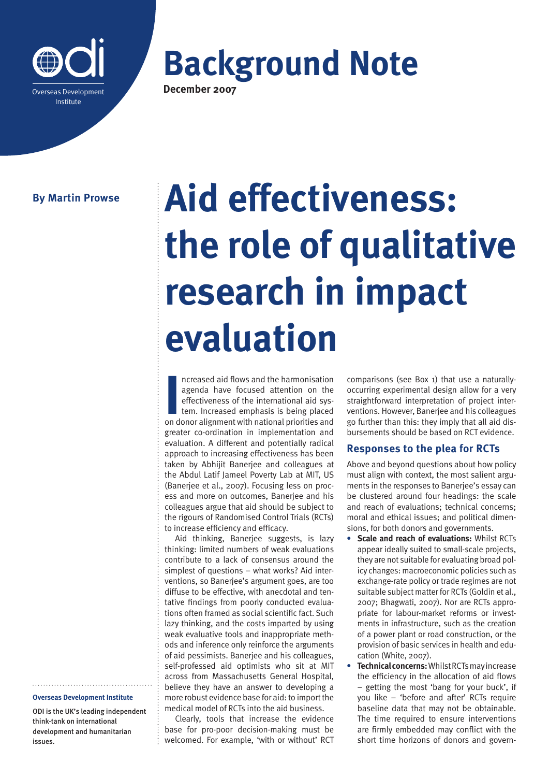

**Background Note December 2007**

# **By Martin Prowse**

# **Aid effectiveness: the role of qualitative research in impact evaluation**

Increased aid flows and the harmonisation<br>
agenda have focused attention on the<br>
effectiveness of the international aid sys-<br>
tem. Increased emphasis is being placed<br>
on donor alignment with national priorities and ncreased aid flows and the harmonisation agenda have focused attention on the effectiveness of the international aid system. Increased emphasis is being placed greater co-ordination in implementation and evaluation. A different and potentially radical approach to increasing effectiveness has been taken by Abhijit Banerjee and colleagues at the Abdul Latif Jameel Poverty Lab at MIT, US (Banerjee et al., 2007). Focusing less on process and more on outcomes, Banerjee and his colleagues argue that aid should be subject to the rigours of Randomised Control Trials (RCTs) to increase efficiency and efficacy.

Aid thinking, Banerjee suggests, is lazy thinking: limited numbers of weak evaluations contribute to a lack of consensus around the simplest of questions – what works? Aid interventions, so Banerjee's argument goes, are too diffuse to be effective, with anecdotal and tentative findings from poorly conducted evaluations often framed as social scientific fact. Such lazy thinking, and the costs imparted by using weak evaluative tools and inappropriate methods and inference only reinforce the arguments of aid pessimists. Banerjee and his colleagues, self-professed aid optimists who sit at MIT across from Massachusetts General Hospital, believe they have an answer to developing a more robust evidence base for aid: to import the medical model of RCTs into the aid business.

Clearly, tools that increase the evidence base for pro-poor decision-making must be welcomed. For example, 'with or without' RCT comparisons (see Box 1) that use a naturallyoccurring experimental design allow for a very straightforward interpretation of project interventions. However, Banerjee and his colleagues go further than this: they imply that all aid disbursements should be based on RCT evidence.

# **Responses to the plea for RCTs**

Above and beyond questions about how policy must align with context, the most salient arguments in the responses to Banerjee's essay can be clustered around four headings: the scale and reach of evaluations; technical concerns; moral and ethical issues; and political dimensions, for both donors and governments.

- **• Scale and reach of evaluations:** Whilst RCTs appear ideally suited to small-scale projects, they are not suitable for evaluating broad policy changes: macroeconomic policies such as exchange-rate policy or trade regimes are not suitable subject matter for RCTs (Goldin et al., 2007; Bhagwati, 2007). Nor are RCTs appropriate for labour-market reforms or investments in infrastructure, such as the creation of a power plant or road construction, or the provision of basic services in health and education (White, 2007).
- **• Technical concerns:** Whilst RCTs may increase the efficiency in the allocation of aid flows – getting the most 'bang for your buck', if you like – 'before and after' RCTs require baseline data that may not be obtainable. The time required to ensure interventions are firmly embedded may conflict with the short time horizons of donors and govern-

#### **Overseas Development Institute**

ODI is the UK's leading independent think-tank on international development and humanitarian issues.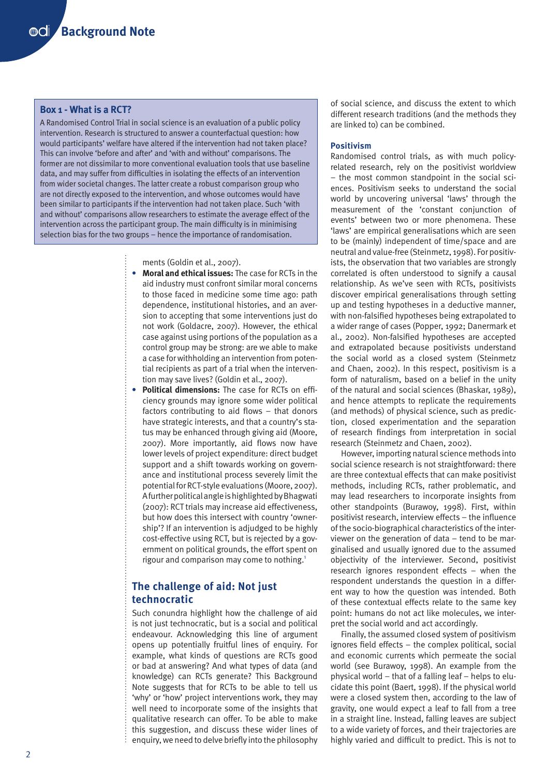## **Box 1 - What is a RCT?**

A Randomised Control Trial in social science is an evaluation of a public policy intervention. Research is structured to answer a counterfactual question: how would participants' welfare have altered if the intervention had not taken place? This can involve 'before and after' and 'with and without' comparisons. The former are not dissimilar to more conventional evaluation tools that use baseline data, and may suffer from difficulties in isolating the effects of an intervention from wider societal changes. The latter create a robust comparison group who are not directly exposed to the intervention, and whose outcomes would have been similar to participants if the intervention had not taken place. Such 'with and without' comparisons allow researchers to estimate the average effect of the intervention across the participant group. The main difficulty is in minimising selection bias for the two groups – hence the importance of randomisation.

ments (Goldin et al., 2007).

- **• Moral and ethical issues:** The case for RCTs in the aid industry must confront similar moral concerns to those faced in medicine some time ago: path dependence, institutional histories, and an aversion to accepting that some interventions just do not work (Goldacre, 2007). However, the ethical case against using portions of the population as a control group may be strong: are we able to make a case for withholding an intervention from potential recipients as part of a trial when the intervention may save lives? (Goldin et al., 2007).
- **• Political dimensions:** The case for RCTs on efficiency grounds may ignore some wider political factors contributing to aid flows – that donors have strategic interests, and that a country's status may be enhanced through giving aid (Moore, 2007). More importantly, aid flows now have lower levels of project expenditure: direct budget support and a shift towards working on governance and institutional process severely limit the potential for RCT-style evaluations (Moore, 2007). A further political angle is highlighted by Bhagwati (2007): RCT trials may increase aid effectiveness, but how does this intersect with country 'ownership'? If an intervention is adjudged to be highly cost-effective using RCT, but is rejected by a government on political grounds, the effort spent on rigour and comparison may come to nothing.<sup>1</sup>

# **The challenge of aid: Not just technocratic**

Such conundra highlight how the challenge of aid is not just technocratic, but is a social and political endeavour. Acknowledging this line of argument opens up potentially fruitful lines of enquiry. For example, what kinds of questions are RCTs good or bad at answering? And what types of data (and knowledge) can RCTs generate? This Background Note suggests that for RCTs to be able to tell us 'why' or 'how' project interventions work, they may well need to incorporate some of the insights that qualitative research can offer. To be able to make this suggestion, and discuss these wider lines of enquiry, we need to delve briefly into the philosophy of social science, and discuss the extent to which different research traditions (and the methods they are linked to) can be combined.

### **Positivism**

Randomised control trials, as with much policyrelated research, rely on the positivist worldview – the most common standpoint in the social sciences. Positivism seeks to understand the social world by uncovering universal 'laws' through the measurement of the 'constant conjunction of events' between two or more phenomena. These 'laws' are empirical generalisations which are seen to be (mainly) independent of time/space and are neutral and value-free (Steinmetz, 1998). For positivists, the observation that two variables are strongly correlated is often understood to signify a causal relationship. As we've seen with RCTs, positivists discover empirical generalisations through setting up and testing hypotheses in a deductive manner, with non-falsified hypotheses being extrapolated to a wider range of cases (Popper, 1992; Danermark et al., 2002). Non-falsified hypotheses are accepted and extrapolated because positivists understand the social world as a closed system (Steinmetz and Chaen, 2002). In this respect, positivism is a form of naturalism, based on a belief in the unity of the natural and social sciences (Bhaskar, 1989), and hence attempts to replicate the requirements (and methods) of physical science, such as prediction, closed experimentation and the separation of research findings from interpretation in social research (Steinmetz and Chaen, 2002).

However, importing natural science methods into social science research is not straightforward: there are three contextual effects that can make positivist methods, including RCTs, rather problematic, and may lead researchers to incorporate insights from other standpoints (Burawoy, 1998). First, within positivist research, interview effects – the influence of the socio-biographical characteristics of the interviewer on the generation of data – tend to be marginalised and usually ignored due to the assumed objectivity of the interviewer. Second, positivist research ignores respondent effects – when the respondent understands the question in a different way to how the question was intended. Both of these contextual effects relate to the same key point: humans do not act like molecules, we interpret the social world and act accordingly.

Finally, the assumed closed system of positivism ignores field effects – the complex political, social and economic currents which permeate the social world (see Burawoy, 1998). An example from the physical world – that of a falling leaf – helps to elucidate this point (Baert, 1998). If the physical world were a closed system then, according to the law of gravity, one would expect a leaf to fall from a tree in a straight line. Instead, falling leaves are subject to a wide variety of forces, and their trajectories are highly varied and difficult to predict. This is not to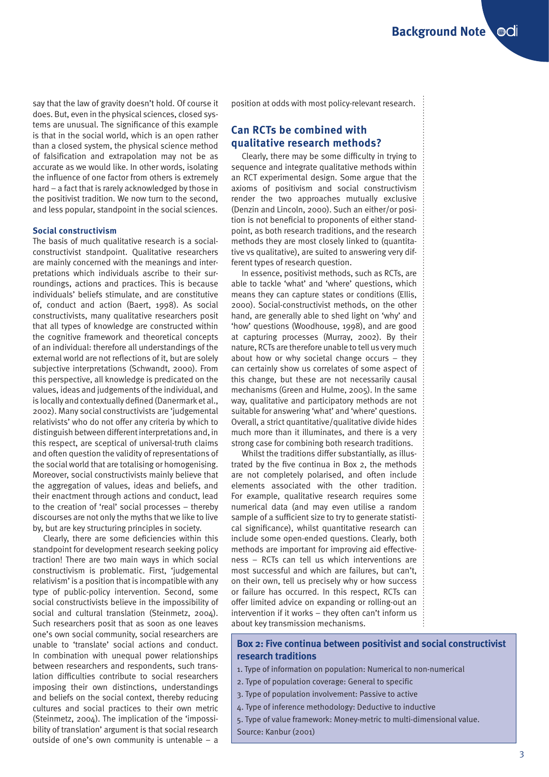say that the law of gravity doesn't hold. Of course it does. But, even in the physical sciences, closed systems are unusual. The significance of this example is that in the social world, which is an open rather than a closed system, the physical science method of falsification and extrapolation may not be as accurate as we would like. In other words, isolating the influence of one factor from others is extremely hard – a fact that is rarely acknowledged by those in the positivist tradition. We now turn to the second, and less popular, standpoint in the social sciences.

#### **Social constructivism**

The basis of much qualitative research is a socialconstructivist standpoint. Qualitative researchers are mainly concerned with the meanings and interpretations which individuals ascribe to their surroundings, actions and practices. This is because individuals' beliefs stimulate, and are constitutive of, conduct and action (Baert, 1998). As social constructivists, many qualitative researchers posit that all types of knowledge are constructed within the cognitive framework and theoretical concepts of an individual: therefore all understandings of the external world are not reflections of it, but are solely subjective interpretations (Schwandt, 2000). From this perspective, all knowledge is predicated on the values, ideas and judgements of the individual, and is locally and contextually defined (Danermark et al., 2002). Many social constructivists are 'judgemental relativists' who do not offer any criteria by which to distinguish between different interpretations and, in this respect, are sceptical of universal-truth claims and often question the validity of representations of the social world that are totalising or homogenising. Moreover, social constructivists mainly believe that the aggregation of values, ideas and beliefs, and their enactment through actions and conduct, lead to the creation of 'real' social processes – thereby discourses are not only the myths that we like to live by, but are key structuring principles in society.

Clearly, there are some deficiencies within this standpoint for development research seeking policy traction! There are two main ways in which social constructivism is problematic. First, 'judgemental relativism' is a position that is incompatible with any type of public-policy intervention. Second, some social constructivists believe in the impossibility of social and cultural translation (Steinmetz, 2004). Such researchers posit that as soon as one leaves one's own social community, social researchers are unable to 'translate' social actions and conduct. In combination with unequal power relationships between researchers and respondents, such translation difficulties contribute to social researchers imposing their own distinctions, understandings and beliefs on the social context, thereby reducing cultures and social practices to their own metric (Steinmetz, 2004). The implication of the 'impossibility of translation' argument is that social research outside of one's own community is untenable – a

position at odds with most policy-relevant research.

# **Can RCTs be combined with qualitative research methods?**

Clearly, there may be some difficulty in trying to sequence and integrate qualitative methods within an RCT experimental design. Some argue that the axioms of positivism and social constructivism render the two approaches mutually exclusive (Denzin and Lincoln, 2000). Such an either/or position is not beneficial to proponents of either standpoint, as both research traditions, and the research methods they are most closely linked to (quantitative vs qualitative), are suited to answering very different types of research question.

In essence, positivist methods, such as RCTs, are able to tackle 'what' and 'where' questions, which means they can capture states or conditions (Ellis, 2000). Social-constructivist methods, on the other hand, are generally able to shed light on 'why' and 'how' questions (Woodhouse, 1998), and are good at capturing processes (Murray, 2002). By their nature, RCTs are therefore unable to tell us very much about how or why societal change occurs – they can certainly show us correlates of some aspect of this change, but these are not necessarily causal mechanisms (Green and Hulme, 2005). In the same way, qualitative and participatory methods are not suitable for answering 'what' and 'where' questions. Overall, a strict quantitative/qualitative divide hides much more than it illuminates, and there is a very strong case for combining both research traditions.

Whilst the traditions differ substantially, as illustrated by the five continua in Box 2, the methods are not completely polarised, and often include elements associated with the other tradition. For example, qualitative research requires some numerical data (and may even utilise a random sample of a sufficient size to try to generate statistical significance), whilst quantitative research can include some open-ended questions. Clearly, both methods are important for improving aid effectiveness – RCTs can tell us which interventions are most successful and which are failures, but can't, on their own, tell us precisely why or how success or failure has occurred. In this respect, RCTs can offer limited advice on expanding or rolling-out an intervention if it works – they often can't inform us about key transmission mechanisms.

## **Box 2: Five continua between positivist and social constructivist research traditions**

- 1. Type of information on population: Numerical to non-numerical
- 2. Type of population coverage: General to specific
- 3. Type of population involvement: Passive to active
- 4. Type of inference methodology: Deductive to inductive
- 5. Type of value framework: Money-metric to multi-dimensional value. Source: Kanbur (2001)